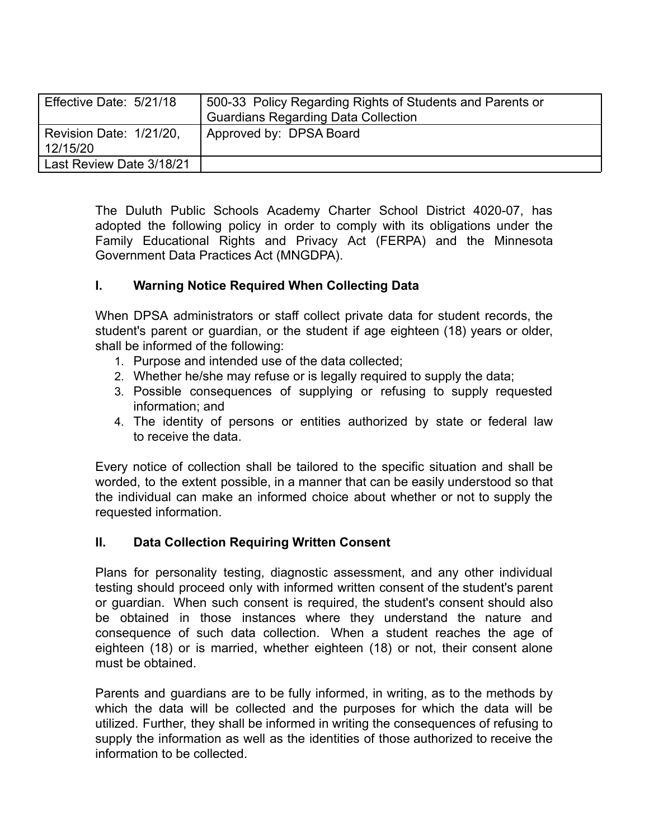| Effective Date: 5/21/18             | 500-33 Policy Regarding Rights of Students and Parents or<br><b>Guardians Regarding Data Collection</b> |
|-------------------------------------|---------------------------------------------------------------------------------------------------------|
| Revision Date: 1/21/20,<br>12/15/20 | Approved by: DPSA Board                                                                                 |
| Last Review Date 3/18/21            |                                                                                                         |

The Duluth Public Schools Academy Charter School District 4020-07, has adopted the following policy in order to comply with its obligations under the Family Educational Rights and Privacy Act (FERPA) and the Minnesota Government Data Practices Act (MNGDPA).

#### **I. Warning Notice Required When Collecting Data**

When DPSA administrators or staff collect private data for student records, the student's parent or guardian, or the student if age eighteen (18) years or older, shall be informed of the following:

- 1. Purpose and intended use of the data collected;
- 2. Whether he/she may refuse or is legally required to supply the data;
- 3. Possible consequences of supplying or refusing to supply requested information; and
- 4. The identity of persons or entities authorized by state or federal law to receive the data.

Every notice of collection shall be tailored to the specific situation and shall be worded, to the extent possible, in a manner that can be easily understood so that the individual can make an informed choice about whether or not to supply the requested information.

### **II. Data Collection Requiring Written Consent**

Plans for personality testing, diagnostic assessment, and any other individual testing should proceed only with informed written consent of the student's parent or guardian. When such consent is required, the student's consent should also be obtained in those instances where they understand the nature and consequence of such data collection. When a student reaches the age of eighteen (18) or is married, whether eighteen (18) or not, their consent alone must be obtained.

Parents and guardians are to be fully informed, in writing, as to the methods by which the data will be collected and the purposes for which the data will be utilized. Further, they shall be informed in writing the consequences of refusing to supply the information as well as the identities of those authorized to receive the information to be collected.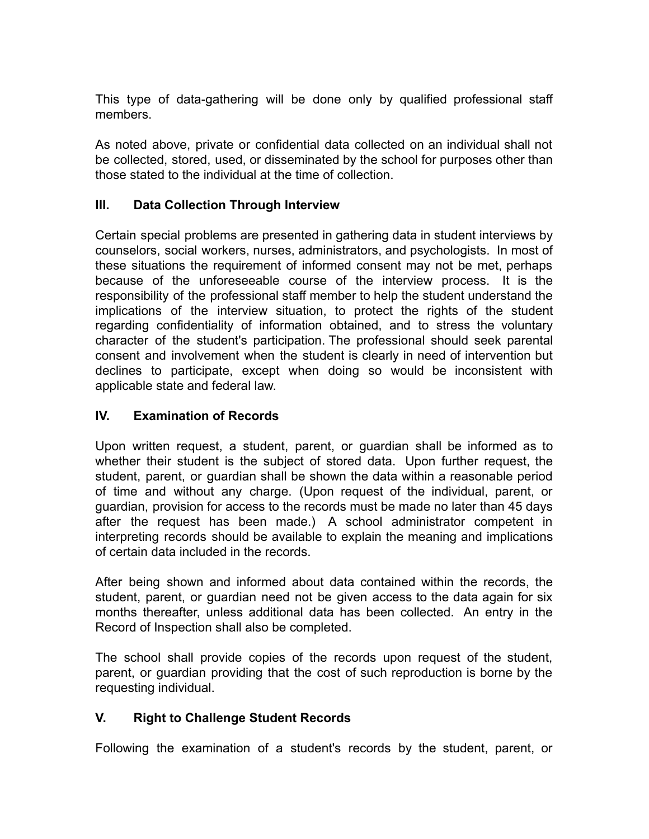This type of data-gathering will be done only by qualified professional staff members.

As noted above, private or confidential data collected on an individual shall not be collected, stored, used, or disseminated by the school for purposes other than those stated to the individual at the time of collection.

## **III. Data Collection Through Interview**

Certain special problems are presented in gathering data in student interviews by counselors, social workers, nurses, administrators, and psychologists. In most of these situations the requirement of informed consent may not be met, perhaps because of the unforeseeable course of the interview process. It is the responsibility of the professional staff member to help the student understand the implications of the interview situation, to protect the rights of the student regarding confidentiality of information obtained, and to stress the voluntary character of the student's participation. The professional should seek parental consent and involvement when the student is clearly in need of intervention but declines to participate, except when doing so would be inconsistent with applicable state and federal law.

## **IV. Examination of Records**

Upon written request, a student, parent, or guardian shall be informed as to whether their student is the subject of stored data. Upon further request, the student, parent, or guardian shall be shown the data within a reasonable period of time and without any charge. (Upon request of the individual, parent, or guardian, provision for access to the records must be made no later than 45 days after the request has been made.) A school administrator competent in interpreting records should be available to explain the meaning and implications of certain data included in the records.

After being shown and informed about data contained within the records, the student, parent, or guardian need not be given access to the data again for six months thereafter, unless additional data has been collected. An entry in the Record of Inspection shall also be completed.

The school shall provide copies of the records upon request of the student, parent, or guardian providing that the cost of such reproduction is borne by the requesting individual.

### **V. Right to Challenge Student Records**

Following the examination of a student's records by the student, parent, or